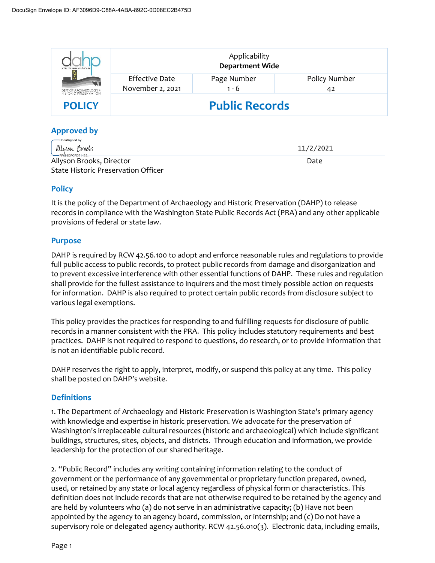| the edifficients there the future<br>F)<br>$\mathcal{L}_{\text{in}}$<br>DEPT OF ARCHAEOLOGY +<br>HISTORIC PRESERVATION | Applicability<br><b>Department Wide</b> |                        |                     |
|------------------------------------------------------------------------------------------------------------------------|-----------------------------------------|------------------------|---------------------|
|                                                                                                                        | Effective Date<br>November 2, 2021      | Page Number<br>$1 - 6$ | Policy Number<br>42 |
| <b>POLICY</b>                                                                                                          | <b>Public Records</b>                   |                        |                     |

# **Approved by**

| —— DocuSianed bv:<br>allyson Brooks         | 11/2/2021 |
|---------------------------------------------|-----------|
| FF699DFCFDF1425<br>Allyson Brooks, Director | Date      |
| State Historic Preservation Officer         |           |

# **Policy**

It is the policy of the Department of Archaeology and Historic Preservation (DAHP) to release records in compliance with the Washington State Public Records Act (PRA) and any other applicable provisions of federal or state law.

# **Purpose**

DAHP is required by RCW 42.56.100 to adopt and enforce reasonable rules and regulations to provide full public access to public records, to protect public records from damage and disorganization and to prevent excessive interference with other essential functions of DAHP. These rules and regulation shall provide for the fullest assistance to inquirers and the most timely possible action on requests for information. DAHP is also required to protect certain public records from disclosure subject to various legal exemptions.

This policy provides the practices for responding to and fulfilling requests for disclosure of public records in a manner consistent with the PRA. This policy includes statutory requirements and best practices. DAHP is not required to respond to questions, do research, or to provide information that is not an identifiable public record.

DAHP reserves the right to apply, interpret, modify, or suspend this policy at any time. This policy shall be posted on DAHP's website.

# **Definitions**

1. The Department of Archaeology and Historic Preservation is Washington State's primary agency with knowledge and expertise in historic preservation. We advocate for the preservation of Washington's irreplaceable cultural resources (historic and archaeological) which include significant buildings, structures, sites, objects, and districts. Through education and information, we provide leadership for the protection of our shared heritage.

2. "Public Record" includes any writing containing information relating to the conduct of government or the performance of any governmental or proprietary function prepared, owned, used, or retained by any state or local agency regardless of physical form or characteristics. This definition does not include records that are not otherwise required to be retained by the agency and are held by volunteers who (a) do not serve in an administrative capacity; (b) Have not been appointed by the agency to an agency board, commission, or internship; and (c) Do not have a supervisory role or delegated agency authority. RCW 42.56.010(3). Electronic data, including emails,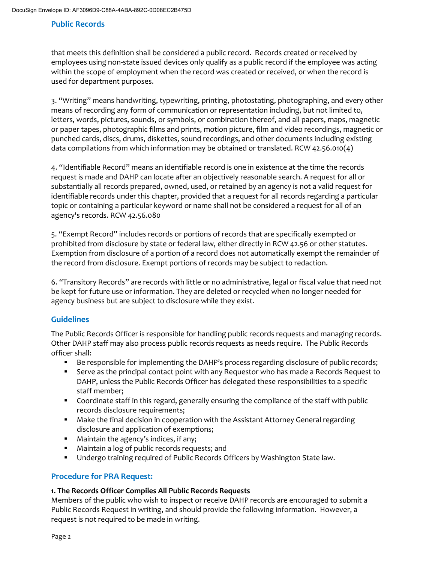that meets this definition shall be considered a public record. Records created or received by employees using non-state issued devices only qualify as a public record if the employee was acting within the scope of employment when the record was created or received, or when the record is used for department purposes.

3. "Writing" means handwriting, typewriting, printing, photostating, photographing, and every other means of recording any form of communication or representation including, but not limited to, letters, words, pictures, sounds, or symbols, or combination thereof, and all papers, maps, magnetic or paper tapes, photographic films and prints, motion picture, film and video recordings, magnetic or punched cards, discs, drums, diskettes, sound recordings, and other documents including existing data compilations from which information may be obtained or translated. RCW 42.56.010(4)

4. "Identifiable Record" means an identifiable record is one in existence at the time the records request is made and DAHP can locate after an objectively reasonable search. A request for all or substantially all records prepared, owned, used, or retained by an agency is not a valid request for identifiable records under this chapter, provided that a request for all records regarding a particular topic or containing a particular keyword or name shall not be considered a request for all of an agency's records. RCW 42.56.080

5. "Exempt Record" includes records or portions of records that are specifically exempted or prohibited from disclosure by state or federal law, either directly in RCW 42.56 or other statutes. Exemption from disclosure of a portion of a record does not automatically exempt the remainder of the record from disclosure. Exempt portions of records may be subject to redaction.

6. "Transitory Records" are records with little or no administrative, legal or fiscal value that need not be kept for future use or information. They are deleted or recycled when no longer needed for agency business but are subject to disclosure while they exist.

## **Guidelines**

The Public Records Officer is responsible for handling public records requests and managing records. Other DAHP staff may also process public records requests as needs require. The Public Records officer shall:

- **Be responsible for implementing the DAHP's process regarding disclosure of public records;**
- Serve as the principal contact point with any Requestor who has made a Records Request to DAHP, unless the Public Records Officer has delegated these responsibilities to a specific staff member;
- Coordinate staff in this regard, generally ensuring the compliance of the staff with public records disclosure requirements;
- Make the final decision in cooperation with the Assistant Attorney General regarding disclosure and application of exemptions;
- **Maintain the agency's indices, if any;**
- **Maintain a log of public records requests; and**
- Undergo training required of Public Records Officers by Washington State law.

## **Procedure for PRA Request:**

#### **1. The Records Officer Compiles All Public Records Requests**

Members of the public who wish to inspect or receive DAHP records are encouraged to submit a Public Records Request in writing, and should provide the following information. However, a request is not required to be made in writing.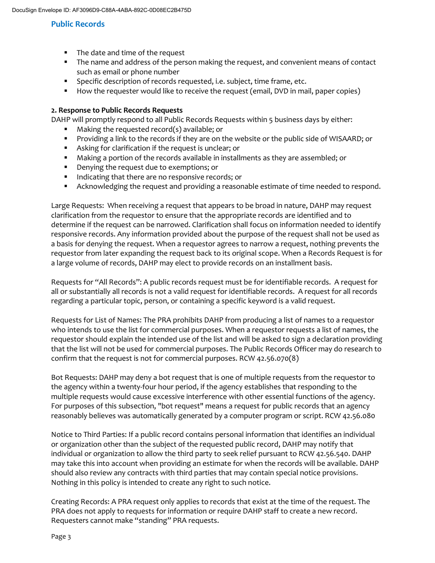- The date and time of the request
- The name and address of the person making the request, and convenient means of contact such as email or phone number
- **Specific description of records requested, i.e. subject, time frame, etc.**
- How the requester would like to receive the request (email, DVD in mail, paper copies)

#### **2. Response to Public Records Requests**

DAHP will promptly respond to all Public Records Requests within 5 business days by either:

- Making the requested record(s) available; or
- **Providing a link to the records if they are on the website or the public side of WISAARD; or**
- Asking for clarification if the request is unclear; or
- Making a portion of the records available in installments as they are assembled; or
- **•** Denying the request due to exemptions; or
- Indicating that there are no responsive records; or
- **Acknowledging the request and providing a reasonable estimate of time needed to respond.**

Large Requests: When receiving a request that appears to be broad in nature, DAHP may request clarification from the requestor to ensure that the appropriate records are identified and to determine if the request can be narrowed. Clarification shall focus on information needed to identify responsive records. Any information provided about the purpose of the request shall not be used as a basis for denying the request. When a requestor agrees to narrow a request, nothing prevents the requestor from later expanding the request back to its original scope. When a Records Request is for a large volume of records, DAHP may elect to provide records on an installment basis.

Requests for "All Records": A public records request must be for identifiable records. A request for all or substantially all records is not a valid request for identifiable records. A request for all records regarding a particular topic, person, or containing a specific keyword is a valid request.

Requests for List of Names: The PRA prohibits DAHP from producing a list of names to a requestor who intends to use the list for commercial purposes. When a requestor requests a list of names, the requestor should explain the intended use of the list and will be asked to sign a declaration providing that the list will not be used for commercial purposes. The Public Records Officer may do research to confirm that the request is not for commercial purposes. RCW 42.56.070(8)

Bot Requests: DAHP may deny a bot request that is one of multiple requests from the requestor to the agency within a twenty-four hour period, if the agency establishes that responding to the multiple requests would cause excessive interference with other essential functions of the agency. For purposes of this subsection, "bot request" means a request for public records that an agency reasonably believes was automatically generated by a computer program or script. RCW 42.56.080

Notice to Third Parties: If a public record contains personal information that identifies an individual or organization other than the subject of the requested public record, DAHP may notify that individual or organization to allow the third party to seek relief pursuant to RCW 42.56.540. DAHP may take this into account when providing an estimate for when the records will be available. DAHP should also review any contracts with third parties that may contain special notice provisions. Nothing in this policy is intended to create any right to such notice.

Creating Records: A PRA request only applies to records that exist at the time of the request. The PRA does not apply to requests for information or require DAHP staff to create a new record. Requesters cannot make "standing" PRA requests.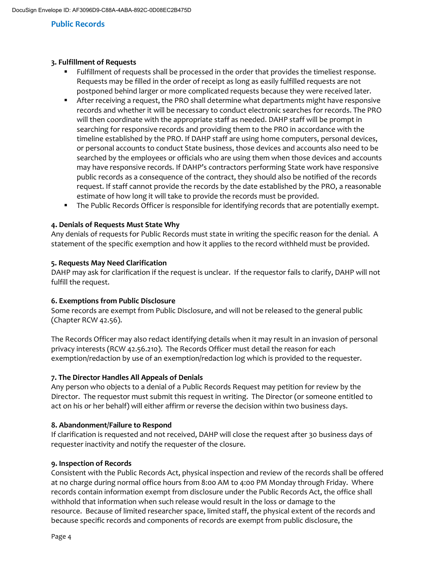#### **3. Fulfillment of Requests**

- Fulfillment of requests shall be processed in the order that provides the timeliest response. Requests may be filled in the order of receipt as long as easily fulfilled requests are not postponed behind larger or more complicated requests because they were received later.
- After receiving a request, the PRO shall determine what departments might have responsive records and whether it will be necessary to conduct electronic searches for records. The PRO will then coordinate with the appropriate staff as needed. DAHP staff will be prompt in searching for responsive records and providing them to the PRO in accordance with the timeline established by the PRO. If DAHP staff are using home computers, personal devices, or personal accounts to conduct State business, those devices and accounts also need to be searched by the employees or officials who are using them when those devices and accounts may have responsive records. If DAHP's contractors performing State work have responsive public records as a consequence of the contract, they should also be notified of the records request. If staff cannot provide the records by the date established by the PRO, a reasonable estimate of how long it will take to provide the records must be provided.
- The Public Records Officer is responsible for identifying records that are potentially exempt.

#### **4. Denials of Requests Must State Why**

Any denials of requests for Public Records must state in writing the specific reason for the denial. A statement of the specific exemption and how it applies to the record withheld must be provided.

#### **5. Requests May Need Clarification**

DAHP may ask for clarification if the request is unclear. If the requestor fails to clarify, DAHP will not fulfill the request.

#### **6. Exemptions from Public Disclosure**

Some records are exempt from Public Disclosure, and will not be released to the general public (Chapter RCW 42.56).

The Records Officer may also redact identifying details when it may result in an invasion of personal privacy interests (RCW 42.56.210). The Records Officer must detail the reason for each exemption/redaction by use of an exemption/redaction log which is provided to the requester.

#### **7. The Director Handles All Appeals of Denials**

Any person who objects to a denial of a Public Records Request may petition for review by the Director. The requestor must submit this request in writing. The Director (or someone entitled to act on his or her behalf) will either affirm or reverse the decision within two business days.

#### **8. Abandonment/Failure to Respond**

If clarification is requested and not received, DAHP will close the request after 30 business days of requester inactivity and notify the requester of the closure.

#### **9. Inspection of Records**

Consistent with the Public Records Act, physical inspection and review of the records shall be offered at no charge during normal office hours from 8:00 AM to 4:00 PM Monday through Friday. Where records contain information exempt from disclosure under the Public Records Act, the office shall withhold that information when such release would result in the loss or damage to the resource. Because of limited researcher space, limited staff, the physical extent of the records and because specific records and components of records are exempt from public disclosure, the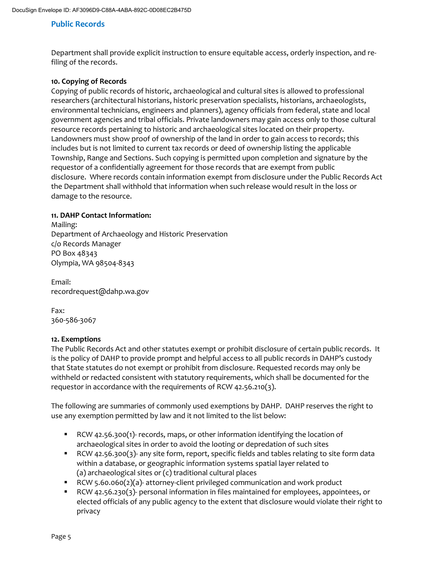Department shall provide explicit instruction to ensure equitable access, orderly inspection, and refiling of the records.

#### **10. Copying of Records**

Copying of public records of historic, archaeological and cultural sites is allowed to professional researchers (architectural historians, historic preservation specialists, historians, archaeologists, environmental technicians, engineers and planners), agency officials from federal, state and local government agencies and tribal officials. Private landowners may gain access only to those cultural resource records pertaining to historic and archaeological sites located on their property. Landowners must show proof of ownership of the land in order to gain access to records; this includes but is not limited to current tax records or deed of ownership listing the applicable Township, Range and Sections. Such copying is permitted upon completion and signature by the requestor of a confidentially agreement for those records that are exempt from public disclosure. Where records contain information exempt from disclosure under the Public Records Act the Department shall withhold that information when such release would result in the loss or damage to the resource.

#### **11. DAHP Contact Information:**

Mailing: Department of Archaeology and Historic Preservation c/o Records Manager PO Box 48343 Olympia, WA 98504-8343

Email: recordrequest@dahp.wa.gov

Fax: 360-586-3067

#### **12. Exemptions**

The Public Records Act and other statutes exempt or prohibit disclosure of certain public records. It is the policy of DAHP to provide prompt and helpful access to all public records in DAHP's custody that State statutes do not exempt or prohibit from disclosure. Requested records may only be withheld or redacted consistent with statutory requirements, which shall be documented for the requestor in accordance with the requirements of RCW 42.56.210(3).

The following are summaries of commonly used exemptions by DAHP. DAHP reserves the right to use any exemption permitted by law and it not limited to the list below:

- RCW 42.56.300(1)- records, maps, or other information identifying the location of archaeological sites in order to avoid the looting or depredation of such sites
- RCW 42.56.300(3)- any site form, report, specific fields and tables relating to site form data within a database, or geographic information systems spatial layer related to (a) archaeological sites or (c) traditional cultural places
- RCW 5.60.060(2)(a)- attorney-client privileged communication and work product
- RCW 42.56.230(3)- personal information in files maintained for employees, appointees, or elected officials of any public agency to the extent that disclosure would violate their right to privacy